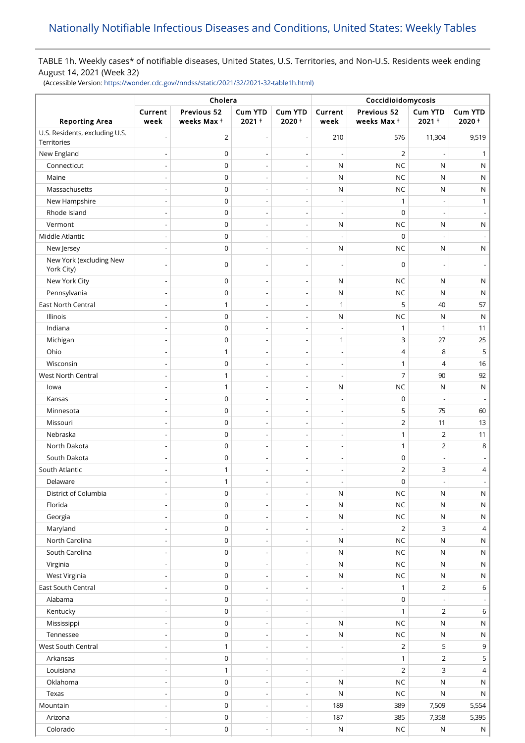# TABLE 1h. Weekly cases\* of notifiable diseases, United States, U.S. Territories, and Non-U.S. Residents week ending August 14, 2021 (Week 32)

(Accessible Version: [https://wonder.cdc.gov//nndss/static/2021/32/2021-32-table1h.html\)](https://wonder.cdc.gov//nndss/static/2021/32/2021-32-table1h.html)

|                                               | Cholera                      |                           |                            |                          | Coccidioidomycosis       |                           |                          |                         |
|-----------------------------------------------|------------------------------|---------------------------|----------------------------|--------------------------|--------------------------|---------------------------|--------------------------|-------------------------|
| <b>Reporting Area</b>                         | Current<br>week              | Previous 52<br>weeks Max+ | <b>Cum YTD</b><br>$2021 +$ | <b>Cum YTD</b><br>2020+  | Current<br>week          | Previous 52<br>weeks Max+ | Cum YTD<br>$2021 +$      | <b>Cum YTD</b><br>2020+ |
| U.S. Residents, excluding U.S.<br>Territories |                              | $\overline{2}$            | $\overline{\phantom{a}}$   | $\overline{\phantom{a}}$ | 210                      | 576                       | 11,304                   | 9,519                   |
| New England                                   |                              | $\mathbf 0$               |                            | $\overline{\phantom{a}}$ | L                        | $\overline{2}$            |                          | 1                       |
| Connecticut                                   |                              | $\mathbf 0$               |                            | $\overline{\phantom{a}}$ | N                        | <b>NC</b>                 | N                        | N                       |
| Maine                                         | $\overline{a}$               | 0                         | $\overline{\phantom{a}}$   | $\overline{\phantom{a}}$ | N                        | <b>NC</b>                 | N                        | N                       |
| Massachusetts                                 | $\overline{a}$               | 0                         | $\overline{\phantom{0}}$   | $\overline{\phantom{a}}$ | N                        | <b>NC</b>                 | N                        | N                       |
| New Hampshire                                 |                              | 0                         | $\overline{\phantom{a}}$   | $\overline{\phantom{a}}$ | $\overline{\phantom{a}}$ | 1                         |                          | 1                       |
| Rhode Island                                  |                              | $\mathbf 0$               |                            | ÷,                       | ÷,                       | $\mathbf 0$               |                          |                         |
| Vermont                                       |                              | $\mathbf 0$               | ÷,                         | $\overline{\phantom{a}}$ | ${\sf N}$                | <b>NC</b>                 | ${\sf N}$                | ${\sf N}$               |
| Middle Atlantic                               |                              | $\mathbf 0$               | $\overline{\phantom{a}}$   | $\overline{\phantom{a}}$ | ÷,                       | 0                         |                          |                         |
| New Jersey                                    | $\overline{a}$               | $\mathbf 0$               | $\overline{\phantom{a}}$   | $\overline{\phantom{a}}$ | N                        | <b>NC</b>                 | N                        | N                       |
| New York (excluding New                       |                              | $\mathbf 0$               |                            | $\overline{\phantom{a}}$ | $\overline{\phantom{a}}$ | $\mathbf 0$               |                          |                         |
| York City)                                    |                              |                           |                            |                          |                          |                           |                          |                         |
| New York City                                 |                              | $\mathbf 0$               |                            | $\overline{\phantom{a}}$ | N                        | <b>NC</b>                 | N                        | N                       |
| Pennsylvania                                  | $\overline{a}$               | $\mathbf 0$               | $\overline{\phantom{a}}$   | $\overline{\phantom{a}}$ | N                        | <b>NC</b>                 | N                        | N                       |
| <b>East North Central</b>                     |                              | 1                         |                            | ÷,                       | 1                        | 5                         | 40                       | 57                      |
| Illinois                                      | $\overline{a}$               | 0                         | $\overline{\phantom{0}}$   | $\overline{\phantom{a}}$ | N                        | <b>NC</b>                 | N                        | N                       |
| Indiana                                       | $\overline{\phantom{0}}$     | 0                         | $\overline{\phantom{a}}$   | $\overline{\phantom{a}}$ | $\overline{\phantom{a}}$ | $\mathbf{1}$              | 1                        | 11                      |
| Michigan                                      |                              | 0                         | $\overline{\phantom{a}}$   | $\overline{\phantom{a}}$ | 1                        | 3                         | 27                       | 25                      |
| Ohio                                          | $\overline{a}$               | $\mathbf{1}$              | ÷,                         | $\overline{\phantom{a}}$ | $\overline{\phantom{a}}$ | $\overline{4}$            | 8                        | 5                       |
| Wisconsin                                     |                              | $\mathbf 0$               | ÷,                         | ÷,                       | $\overline{a}$           | $\mathbf{1}$              | 4                        | 16                      |
| West North Central                            | $\overline{\phantom{a}}$     | $\mathbf{1}$              | $\overline{\phantom{a}}$   | $\overline{\phantom{a}}$ | $\overline{\phantom{a}}$ | $\overline{7}$            | 90                       | 92                      |
| lowa                                          |                              | $\mathbf{1}$              |                            |                          | N                        | <b>NC</b>                 | N                        | $\mathsf{N}$            |
| Kansas                                        |                              | $\mathbf 0$               | $\overline{a}$             | $\overline{\phantom{a}}$ | $\overline{\phantom{a}}$ | 0                         |                          |                         |
| Minnesota                                     |                              | $\mathbf 0$               |                            | $\overline{\phantom{a}}$ | $\overline{\phantom{a}}$ | 5                         | 75                       | 60                      |
| Missouri                                      |                              | $\mathbf 0$               | $\overline{a}$             | $\overline{\phantom{a}}$ | $\overline{\phantom{m}}$ | $\mathbf 2$               | 11                       | 13                      |
| Nebraska                                      |                              | $\mathbf 0$               |                            | $\overline{\phantom{a}}$ | Ĭ.                       | $\mathbf{1}$              | 2                        | 11                      |
| North Dakota                                  |                              | $\mathbf 0$               | $\overline{a}$             | $\overline{\phantom{a}}$ | $\overline{\phantom{a}}$ | $\mathbf{1}$              | $\overline{2}$           | 8                       |
| South Dakota                                  |                              | $\mathbf 0$               | $\overline{\phantom{a}}$   | $\overline{\phantom{a}}$ | $\overline{\phantom{a}}$ | $\pmb{0}$                 |                          |                         |
| South Atlantic                                | $\overline{a}$               | 1                         | $\overline{\phantom{a}}$   | $\overline{\phantom{a}}$ | $\overline{\phantom{m}}$ | $\overline{2}$            | 3                        | 4                       |
| Delaware                                      | $\overline{\phantom{0}}$     | $\mathbf{1}$              | $\overline{\phantom{a}}$   | $\overline{\phantom{a}}$ | $\overline{\phantom{a}}$ | $\mathbf 0$               | $\overline{\phantom{a}}$ |                         |
| District of Columbia                          | $\overline{\phantom{m}}$     | 0                         | $\overline{a}$             | $\overline{\phantom{a}}$ | ${\sf N}$                | <b>NC</b>                 | ${\sf N}$                | $\mathsf{N}$            |
| Florida                                       | $\overline{\phantom{0}}$     | $\mathsf 0$               | $\overline{\phantom{a}}$   | $\overline{\phantom{a}}$ | ${\sf N}$                | <b>NC</b>                 | N                        | ${\sf N}$               |
| Georgia                                       |                              | 0                         |                            | $\overline{\phantom{a}}$ | ${\sf N}$                | $NC$                      | ${\sf N}$                | $\mathsf{N}$            |
| Maryland                                      | $\qquad \qquad \blacksquare$ | $\mathsf 0$               | $\overline{\phantom{a}}$   | $\overline{\phantom{a}}$ | $\overline{\phantom{a}}$ | $\overline{2}$            | 3                        | $\overline{4}$          |
| North Carolina                                |                              | $\pmb{0}$                 |                            |                          | N                        | <b>NC</b>                 | ${\sf N}$                | $\mathsf{N}$            |
| South Carolina                                | $\overline{a}$               | $\mathbf 0$               | $\overline{\phantom{a}}$   | $\overline{\phantom{a}}$ | ${\sf N}$                | <b>NC</b>                 | N                        | $\mathsf{N}$            |
| Virginia                                      | Ĭ.                           | 0                         | $\overline{a}$             | ÷,                       | N                        | <b>NC</b>                 | ${\sf N}$                | $\mathsf{N}$            |
| West Virginia                                 | $\qquad \qquad \blacksquare$ | 0                         | $\overline{\phantom{a}}$   | $\overline{\phantom{a}}$ | ${\sf N}$                | $NC$                      | ${\sf N}$                | $\mathsf{N}$            |
| East South Central                            | $\overline{\phantom{0}}$     | 0                         | $\overline{\phantom{a}}$   | $\overline{\phantom{a}}$ | $\overline{\phantom{a}}$ | $\mathbf{1}$              | $\overline{2}$           | 6                       |
| Alabama                                       |                              | 0                         | $\overline{\phantom{a}}$   | $\overline{\phantom{a}}$ | $\overline{\phantom{a}}$ | $\mathbf 0$               |                          |                         |
| Kentucky                                      | $\overline{a}$               | $\mathsf 0$               | $\overline{\phantom{a}}$   | $\overline{\phantom{a}}$ | $\overline{\phantom{a}}$ | $\mathbf{1}$              | $\overline{2}$           | 6                       |
| Mississippi                                   | ÷                            | 0                         | $\overline{a}$             | $\overline{\phantom{a}}$ | ${\sf N}$                | <b>NC</b>                 | N                        | N                       |
| Tennessee                                     | $\overline{a}$               | $\pmb{0}$                 | $\overline{\phantom{a}}$   | $\overline{\phantom{a}}$ | ${\sf N}$                | <b>NC</b>                 | N                        | $\mathsf{N}$            |
| West South Central                            |                              | $\mathbf{1}$              | ÷,                         | $\overline{\phantom{a}}$ | $\overline{\phantom{a}}$ | $\overline{2}$            | 5                        | 9                       |
| Arkansas                                      | $\qquad \qquad \blacksquare$ | $\mathbf 0$               | $\overline{\phantom{a}}$   | $\overline{\phantom{a}}$ | $\overline{\phantom{a}}$ | $\mathbf{1}$              | $\overline{2}$           | 5                       |
| Louisiana                                     |                              | $\mathbf{1}$              |                            | $\overline{\phantom{a}}$ | Ĭ.                       | $\overline{2}$            | 3                        | 4                       |
| Oklahoma                                      | $\overline{a}$               | 0                         | $\overline{\phantom{a}}$   | $\overline{\phantom{a}}$ | ${\sf N}$                | <b>NC</b>                 | N                        | N                       |
| Texas                                         |                              | 0                         | $\overline{a}$             | $\overline{\phantom{a}}$ | N                        | <b>NC</b>                 | N                        | $\mathsf{N}$            |
| Mountain                                      |                              | $\mathbf 0$               | $\overline{\phantom{a}}$   | $\overline{\phantom{a}}$ | 189                      | 389                       | 7,509                    | 5,554                   |
| Arizona                                       |                              | $\pmb{0}$                 | $\overline{\phantom{a}}$   | $\overline{\phantom{a}}$ | 187                      | 385                       | 7,358                    | 5,395                   |
| Colorado                                      | ÷                            | $\pmb{0}$                 | $\overline{\phantom{0}}$   | $\overline{\phantom{a}}$ | N                        | <b>NC</b>                 | ${\sf N}$                | $\mathsf{N}$            |